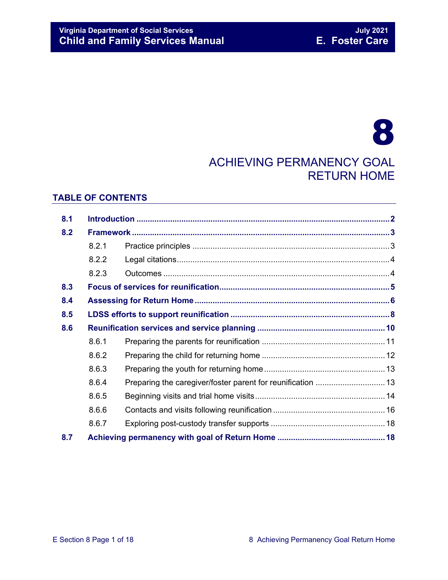# **Virginia Department of Social Services**<br> **Child and Family Services Manual Child and Family Services Manual Child and Family Services Manual Child and Family Services Manual**

# 8 ACHIEVING PERMANENCY GOAL RETURN HOME

### **TABLE OF CONTENTS**

| 8.1 |       |                                                             |  |
|-----|-------|-------------------------------------------------------------|--|
| 8.2 |       |                                                             |  |
|     | 8.2.1 |                                                             |  |
|     | 8.2.2 |                                                             |  |
|     | 8.2.3 |                                                             |  |
| 8.3 |       |                                                             |  |
| 8.4 |       |                                                             |  |
| 8.5 |       |                                                             |  |
| 8.6 |       |                                                             |  |
|     | 8.6.1 |                                                             |  |
|     | 8.6.2 |                                                             |  |
|     | 8.6.3 |                                                             |  |
|     | 8.6.4 | Preparing the caregiver/foster parent for reunification  13 |  |
|     | 8.6.5 |                                                             |  |
|     | 8.6.6 |                                                             |  |
|     | 8.6.7 |                                                             |  |
| 8.7 |       |                                                             |  |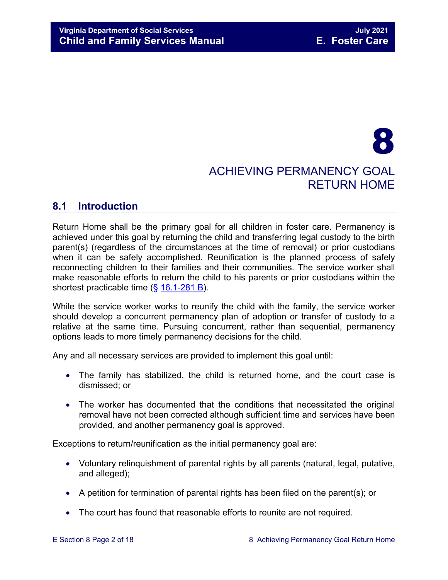# 8 ACHIEVING PERMANENCY GOAL RETURN HOME

# <span id="page-1-0"></span>**8.1 Introduction**

Return Home shall be the primary goal for all children in foster care. Permanency is achieved under this goal by returning the child and transferring legal custody to the birth parent(s) (regardless of the circumstances at the time of removal) or prior custodians when it can be safely accomplished. Reunification is the planned process of safely reconnecting children to their families and their communities. The service worker shall make reasonable efforts to return the child to his parents or prior custodians within the shortest practicable time (§ [16.1-281 B\)](https://law.lis.virginia.gov/vacode/16.1-281/).

While the service worker works to reunify the child with the family, the service worker should develop a concurrent permanency plan of adoption or transfer of custody to a relative at the same time. Pursuing concurrent, rather than sequential, permanency options leads to more timely permanency decisions for the child.

Any and all necessary services are provided to implement this goal until:

- The family has stabilized, the child is returned home, and the court case is dismissed; or
- The worker has documented that the conditions that necessitated the original removal have not been corrected although sufficient time and services have been provided, and another permanency goal is approved.

Exceptions to return/reunification as the initial permanency goal are:

- Voluntary relinquishment of parental rights by all parents (natural, legal, putative, and alleged);
- A petition for termination of parental rights has been filed on the parent(s); or
- The court has found that reasonable efforts to reunite are not required.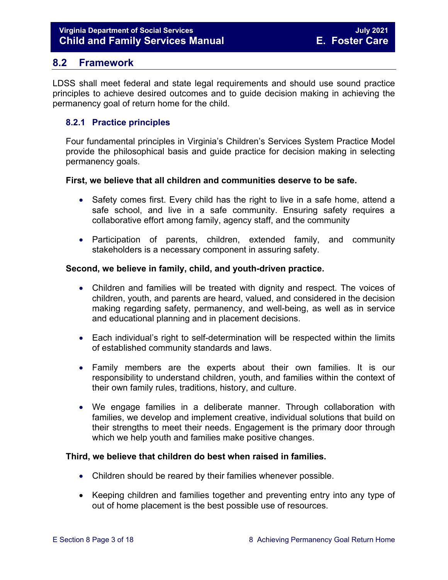# <span id="page-2-0"></span>**8.2 Framework**

LDSS shall meet federal and state legal requirements and should use sound practice principles to achieve desired outcomes and to guide decision making in achieving the permanency goal of return home for the child.

# <span id="page-2-1"></span>**8.2.1 Practice principles**

Four fundamental principles in Virginia's Children's Services System Practice Model provide the philosophical basis and guide practice for decision making in selecting permanency goals.

#### **First, we believe that all children and communities deserve to be safe.**

- Safety comes first. Every child has the right to live in a safe home, attend a safe school, and live in a safe community. Ensuring safety requires a collaborative effort among family, agency staff, and the community
- Participation of parents, children, extended family, and community stakeholders is a necessary component in assuring safety.

#### **Second, we believe in family, child, and youth-driven practice.**

- Children and families will be treated with dignity and respect. The voices of children, youth, and parents are heard, valued, and considered in the decision making regarding safety, permanency, and well-being, as well as in service and educational planning and in placement decisions.
- Each individual's right to self-determination will be respected within the limits of established community standards and laws.
- Family members are the experts about their own families. It is our responsibility to understand children, youth, and families within the context of their own family rules, traditions, history, and culture.
- We engage families in a deliberate manner. Through collaboration with families, we develop and implement creative, individual solutions that build on their strengths to meet their needs. Engagement is the primary door through which we help youth and families make positive changes.

# **Third, we believe that children do best when raised in families.**

- Children should be reared by their families whenever possible.
- Keeping children and families together and preventing entry into any type of out of home placement is the best possible use of resources.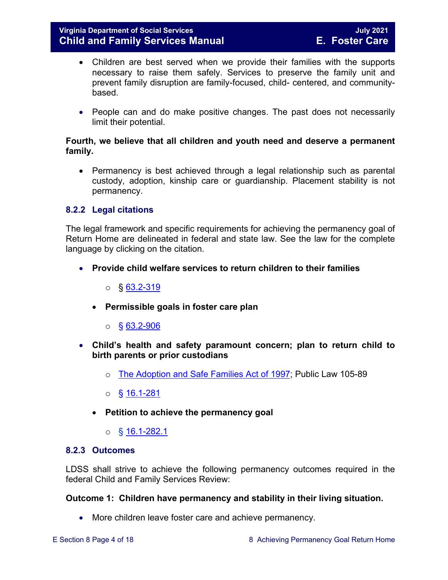- Children are best served when we provide their families with the supports necessary to raise them safely. Services to preserve the family unit and prevent family disruption are family-focused, child- centered, and communitybased.
- People can and do make positive changes. The past does not necessarily limit their potential.

### **Fourth, we believe that all children and youth need and deserve a permanent family.**

• Permanency is best achieved through a legal relationship such as parental custody, adoption, kinship care or guardianship. Placement stability is not permanency.

# <span id="page-3-0"></span>**8.2.2 Legal citations**

The legal framework and specific requirements for achieving the permanency goal of Return Home are delineated in federal and state law. See the law for the complete language by clicking on the citation.

- **Provide child welfare services to return children to their families**
	- $\circ$  § [63.2-319](https://law.lis.virginia.gov/vacode/63.2-319/)
	- **Permissible goals in foster care plan** 
		- $\circ$  § [63.2-906](https://law.lis.virginia.gov/vacode/63.2-906/)
- **Child's health and safety paramount concern; plan to return child to birth parents or prior custodians**
	- o [The Adoption and Safe Families Act of 1997;](http://www.nicwa.org/law/asfa/ASFAII.pdf) Public Law 105-89
	- $\circ$  § [16.1-281](https://law.lis.virginia.gov/vacode/16.1-281/)
	- **Petition to achieve the permanency goal** 
		- $\circ$  § [16.1-282.1](https://law.lis.virginia.gov/vacode/16.1-282.1/)

#### <span id="page-3-1"></span>**8.2.3 Outcomes**

LDSS shall strive to achieve the following permanency outcomes required in the federal Child and Family Services Review:

# **Outcome 1: Children have permanency and stability in their living situation.**

• More children leave foster care and achieve permanency.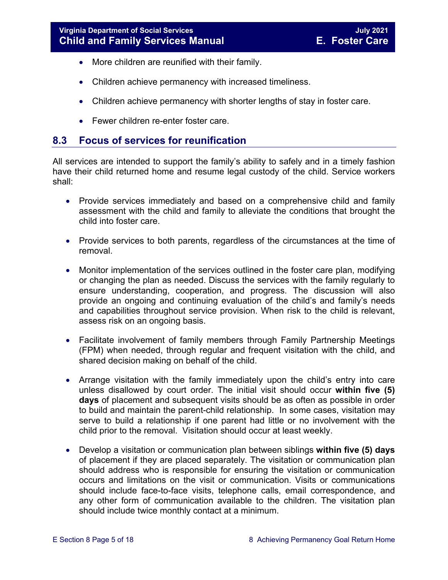- More children are reunified with their family.
- Children achieve permanency with increased timeliness.
- Children achieve permanency with shorter lengths of stay in foster care.
- Fewer children re-enter foster care.

# <span id="page-4-0"></span>**8.3 Focus of services for reunification**

All services are intended to support the family's ability to safely and in a timely fashion have their child returned home and resume legal custody of the child. Service workers shall:

- Provide services immediately and based on a comprehensive child and family assessment with the child and family to alleviate the conditions that brought the child into foster care.
- Provide services to both parents, regardless of the circumstances at the time of removal.
- Monitor implementation of the services outlined in the foster care plan, modifying or changing the plan as needed. Discuss the services with the family regularly to ensure understanding, cooperation, and progress. The discussion will also provide an ongoing and continuing evaluation of the child's and family's needs and capabilities throughout service provision. When risk to the child is relevant, assess risk on an ongoing basis.
- Facilitate involvement of family members through Family Partnership Meetings (FPM) when needed, through regular and frequent visitation with the child, and shared decision making on behalf of the child.
- Arrange visitation with the family immediately upon the child's entry into care unless disallowed by court order. The initial visit should occur **within five (5) days** of placement and subsequent visits should be as often as possible in order to build and maintain the parent-child relationship. In some cases, visitation may serve to build a relationship if one parent had little or no involvement with the child prior to the removal. Visitation should occur at least weekly.
- Develop a visitation or communication plan between siblings **within five (5) days** of placement if they are placed separately. The visitation or communication plan should address who is responsible for ensuring the visitation or communication occurs and limitations on the visit or communication. Visits or communications should include face-to-face visits, telephone calls, email correspondence, and any other form of communication available to the children. The visitation plan should include twice monthly contact at a minimum.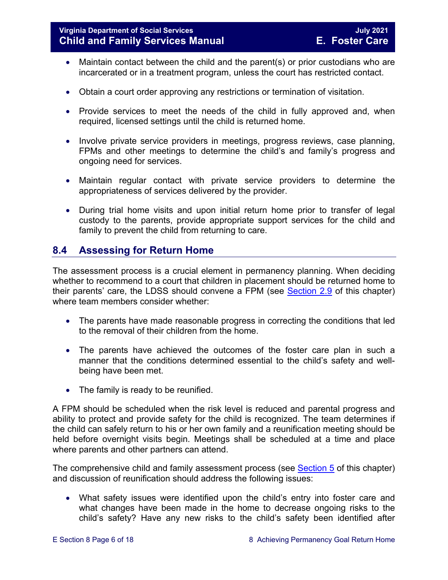- Maintain contact between the child and the parent(s) or prior custodians who are incarcerated or in a treatment program, unless the court has restricted contact.
- Obtain a court order approving any restrictions or termination of visitation.
- Provide services to meet the needs of the child in fully approved and, when required, licensed settings until the child is returned home.
- Involve private service providers in meetings, progress reviews, case planning, FPMs and other meetings to determine the child's and family's progress and ongoing need for services.
- Maintain regular contact with private service providers to determine the appropriateness of services delivered by the provider.
- During trial home visits and upon initial return home prior to transfer of legal custody to the parents, provide appropriate support services for the child and family to prevent the child from returning to care.

# <span id="page-5-0"></span>**8.4 Assessing for Return Home**

The assessment process is a crucial element in permanency planning. When deciding whether to recommend to a court that children in placement should be returned home to their parents' care, the LDSS should convene a FPM (see [Section 2.9](https://fusion.dss.virginia.gov/Portals/%5bdfs%5d/Files/DFS%20Manuals/Foster%20Care%20Manuals/Foster%20Care%20Manual%2007-2020/Final%20Foster%20Care%20Manual%2007-2020/section_2_engaging_the_child_family_and_significant_adults.pdf#page=19) of this chapter) where team members consider whether:

- The parents have made reasonable progress in correcting the conditions that led to the removal of their children from the home.
- The parents have achieved the outcomes of the foster care plan in such a manner that the conditions determined essential to the child's safety and wellbeing have been met.
- The family is ready to be reunified.

A FPM should be scheduled when the risk level is reduced and parental progress and ability to protect and provide safety for the child is recognized. The team determines if the child can safely return to his or her own family and a reunification meeting should be held before overnight visits begin. Meetings shall be scheduled at a time and place where parents and other partners can attend.

The comprehensive child and family assessment process (see [Section 5](https://fusion.dss.virginia.gov/Portals/%5bdfs%5d/Files/DFS%20Manuals/Foster%20Care%20Manuals/Foster%20Care%20Manual%2007-2020/Final%20Foster%20Care%20Manual%2007-2020/section_5_conducting_child_and_family_assessment.pdf) of this chapter) and discussion of reunification should address the following issues:

• What safety issues were identified upon the child's entry into foster care and what changes have been made in the home to decrease ongoing risks to the child's safety? Have any new risks to the child's safety been identified after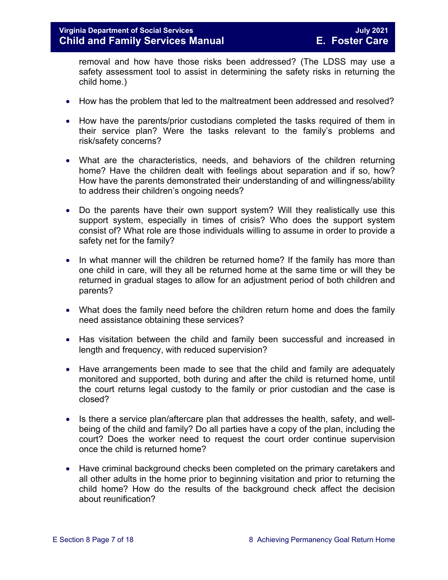removal and how have those risks been addressed? (The LDSS may use a safety assessment tool to assist in determining the safety risks in returning the child home.)

- How has the problem that led to the maltreatment been addressed and resolved?
- How have the parents/prior custodians completed the tasks required of them in their service plan? Were the tasks relevant to the family's problems and risk/safety concerns?
- What are the characteristics, needs, and behaviors of the children returning home? Have the children dealt with feelings about separation and if so, how? How have the parents demonstrated their understanding of and willingness/ability to address their children's ongoing needs?
- Do the parents have their own support system? Will they realistically use this support system, especially in times of crisis? Who does the support system consist of? What role are those individuals willing to assume in order to provide a safety net for the family?
- In what manner will the children be returned home? If the family has more than one child in care, will they all be returned home at the same time or will they be returned in gradual stages to allow for an adjustment period of both children and parents?
- What does the family need before the children return home and does the family need assistance obtaining these services?
- Has visitation between the child and family been successful and increased in length and frequency, with reduced supervision?
- Have arrangements been made to see that the child and family are adequately monitored and supported, both during and after the child is returned home, until the court returns legal custody to the family or prior custodian and the case is closed?
- Is there a service plan/aftercare plan that addresses the health, safety, and wellbeing of the child and family? Do all parties have a copy of the plan, including the court? Does the worker need to request the court order continue supervision once the child is returned home?
- Have criminal background checks been completed on the primary caretakers and all other adults in the home prior to beginning visitation and prior to returning the child home? How do the results of the background check affect the decision about reunification?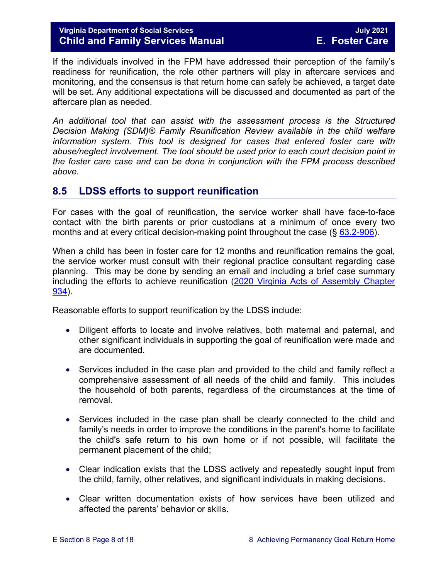# **Virginia Department of Social Services July 2021 Child and Family Services Manual E. Foster Care**

If the individuals involved in the FPM have addressed their perception of the family's readiness for reunification, the role other partners will play in aftercare services and monitoring, and the consensus is that return home can safely be achieved, a target date will be set. Any additional expectations will be discussed and documented as part of the aftercare plan as needed.

*An additional tool that can assist with the assessment process is the Structured Decision Making (SDM)® Family Reunification Review available in the child welfare information system. This tool is designed for cases that entered foster care with abuse/neglect involvement. The tool should be used prior to each court decision point in the foster care case and can be done in conjunction with the FPM process described above.* 

# <span id="page-7-0"></span>**8.5 LDSS efforts to support reunification**

For cases with the goal of reunification, the service worker shall have face-to-face contact with the birth parents or prior custodians at a minimum of once every two months and at every critical decision-making point throughout the case (§ [63.2-906\)](https://law.lis.virginia.gov/vacode/63.2-906).

When a child has been in foster care for 12 months and reunification remains the goal, the service worker must consult with their regional practice consultant regarding case planning. This may be done by sending an email and including a brief case summary including the efforts to achieve reunification (2020 Virginia Acts of Assembly Chapter [934\)](https://lis.virginia.gov/cgi-bin/legp604.exe?201+ful+CHAP0934).

Reasonable efforts to support reunification by the LDSS include:

- Diligent efforts to locate and involve relatives, both maternal and paternal, and other significant individuals in supporting the goal of reunification were made and are documented.
- Services included in the case plan and provided to the child and family reflect a comprehensive assessment of all needs of the child and family. This includes the household of both parents, regardless of the circumstances at the time of removal.
- Services included in the case plan shall be clearly connected to the child and family's needs in order to improve the conditions in the parent's home to facilitate the child's safe return to his own home or if not possible, will facilitate the permanent placement of the child;
- Clear indication exists that the LDSS actively and repeatedly sought input from the child, family, other relatives, and significant individuals in making decisions.
- Clear written documentation exists of how services have been utilized and affected the parents' behavior or skills.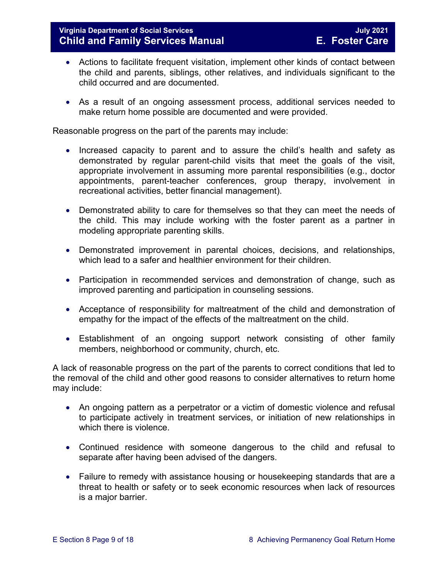- Actions to facilitate frequent visitation, implement other kinds of contact between the child and parents, siblings, other relatives, and individuals significant to the child occurred and are documented.
- As a result of an ongoing assessment process, additional services needed to make return home possible are documented and were provided.

Reasonable progress on the part of the parents may include:

- Increased capacity to parent and to assure the child's health and safety as demonstrated by regular parent-child visits that meet the goals of the visit, appropriate involvement in assuming more parental responsibilities (e.g., doctor appointments, parent-teacher conferences, group therapy, involvement in recreational activities, better financial management).
- Demonstrated ability to care for themselves so that they can meet the needs of the child. This may include working with the foster parent as a partner in modeling appropriate parenting skills.
- Demonstrated improvement in parental choices, decisions, and relationships, which lead to a safer and healthier environment for their children.
- Participation in recommended services and demonstration of change, such as improved parenting and participation in counseling sessions.
- Acceptance of responsibility for maltreatment of the child and demonstration of empathy for the impact of the effects of the maltreatment on the child.
- Establishment of an ongoing support network consisting of other family members, neighborhood or community, church, etc.

A lack of reasonable progress on the part of the parents to correct conditions that led to the removal of the child and other good reasons to consider alternatives to return home may include:

- An ongoing pattern as a perpetrator or a victim of domestic violence and refusal to participate actively in treatment services, or initiation of new relationships in which there is violence.
- Continued residence with someone dangerous to the child and refusal to separate after having been advised of the dangers.
- Failure to remedy with assistance housing or housekeeping standards that are a threat to health or safety or to seek economic resources when lack of resources is a major barrier.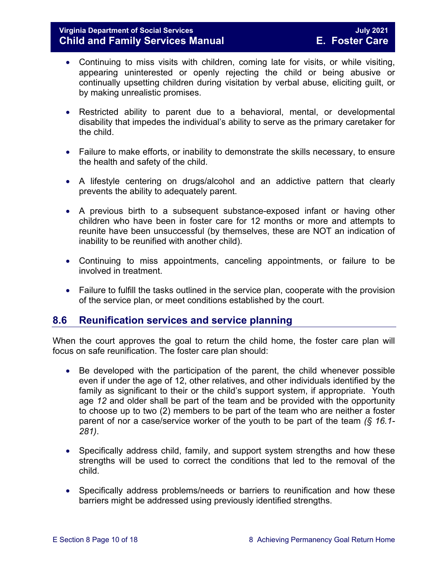- Continuing to miss visits with children, coming late for visits, or while visiting, appearing uninterested or openly rejecting the child or being abusive or continually upsetting children during visitation by verbal abuse, eliciting guilt, or by making unrealistic promises.
- Restricted ability to parent due to a behavioral, mental, or developmental disability that impedes the individual's ability to serve as the primary caretaker for the child.
- Failure to make efforts, or inability to demonstrate the skills necessary, to ensure the health and safety of the child.
- A lifestyle centering on drugs/alcohol and an addictive pattern that clearly prevents the ability to adequately parent.
- A previous birth to a subsequent substance-exposed infant or having other children who have been in foster care for 12 months or more and attempts to reunite have been unsuccessful (by themselves, these are NOT an indication of inability to be reunified with another child).
- Continuing to miss appointments, canceling appointments, or failure to be involved in treatment.
- Failure to fulfill the tasks outlined in the service plan, cooperate with the provision of the service plan, or meet conditions established by the court.

# <span id="page-9-0"></span>**8.6 Reunification services and service planning**

When the court approves the goal to return the child home, the foster care plan will focus on safe reunification. The foster care plan should:

- Be developed with the participation of the parent, the child whenever possible even if under the age of 12, other relatives, and other individuals identified by the family as significant to their or the child's support system, if appropriate. Youth age *12* and older shall be part of the team and be provided with the opportunity to choose up to two (2) members to be part of the team who are neither a foster parent of nor a case/service worker of the youth to be part of the team *(§ 16.1- 281)*.
- Specifically address child, family, and support system strengths and how these strengths will be used to correct the conditions that led to the removal of the child.
- Specifically address problems/needs or barriers to reunification and how these barriers might be addressed using previously identified strengths.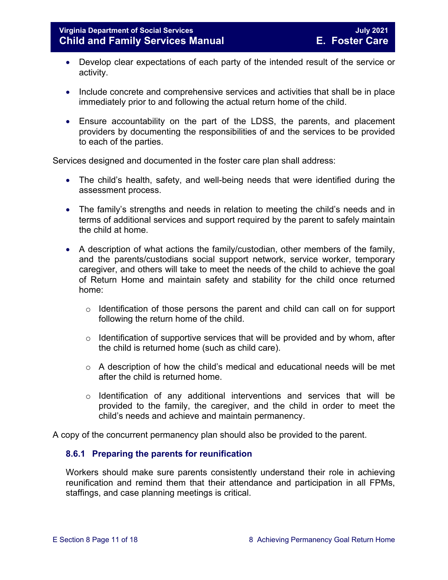- Develop clear expectations of each party of the intended result of the service or activity.
- Include concrete and comprehensive services and activities that shall be in place immediately prior to and following the actual return home of the child.
- Ensure accountability on the part of the LDSS, the parents, and placement providers by documenting the responsibilities of and the services to be provided to each of the parties.

Services designed and documented in the foster care plan shall address:

- The child's health, safety, and well-being needs that were identified during the assessment process.
- The family's strengths and needs in relation to meeting the child's needs and in terms of additional services and support required by the parent to safely maintain the child at home.
- A description of what actions the family/custodian, other members of the family, and the parents/custodians social support network, service worker, temporary caregiver, and others will take to meet the needs of the child to achieve the goal of Return Home and maintain safety and stability for the child once returned home:
	- $\circ$  Identification of those persons the parent and child can call on for support following the return home of the child.
	- $\circ$  Identification of supportive services that will be provided and by whom, after the child is returned home (such as child care).
	- o A description of how the child's medical and educational needs will be met after the child is returned home.
	- $\circ$  Identification of any additional interventions and services that will be provided to the family, the caregiver, and the child in order to meet the child's needs and achieve and maintain permanency.

A copy of the concurrent permanency plan should also be provided to the parent.

# <span id="page-10-0"></span>**8.6.1 Preparing the parents for reunification**

Workers should make sure parents consistently understand their role in achieving reunification and remind them that their attendance and participation in all FPMs, staffings, and case planning meetings is critical.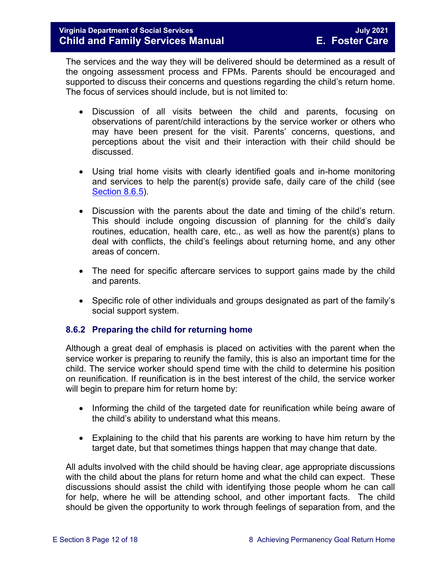The services and the way they will be delivered should be determined as a result of the ongoing assessment process and FPMs. Parents should be encouraged and supported to discuss their concerns and questions regarding the child's return home. The focus of services should include, but is not limited to:

- Discussion of all visits between the child and parents, focusing on observations of parent/child interactions by the service worker or others who may have been present for the visit. Parents' concerns, questions, and perceptions about the visit and their interaction with their child should be discussed.
- Using trial home visits with clearly identified goals and in-home monitoring and services to help the parent(s) provide safe, daily care of the child (see [Section](#page-13-0) 8.6.5).
- Discussion with the parents about the date and timing of the child's return. This should include ongoing discussion of planning for the child's daily routines, education, health care, etc., as well as how the parent(s) plans to deal with conflicts, the child's feelings about returning home, and any other areas of concern.
- The need for specific aftercare services to support gains made by the child and parents.
- Specific role of other individuals and groups designated as part of the family's social support system.

# <span id="page-11-0"></span>**8.6.2 Preparing the child for returning home**

Although a great deal of emphasis is placed on activities with the parent when the service worker is preparing to reunify the family, this is also an important time for the child. The service worker should spend time with the child to determine his position on reunification. If reunification is in the best interest of the child, the service worker will begin to prepare him for return home by:

- Informing the child of the targeted date for reunification while being aware of the child's ability to understand what this means.
- Explaining to the child that his parents are working to have him return by the target date, but that sometimes things happen that may change that date.

All adults involved with the child should be having clear, age appropriate discussions with the child about the plans for return home and what the child can expect. These discussions should assist the child with identifying those people whom he can call for help, where he will be attending school, and other important facts. The child should be given the opportunity to work through feelings of separation from, and the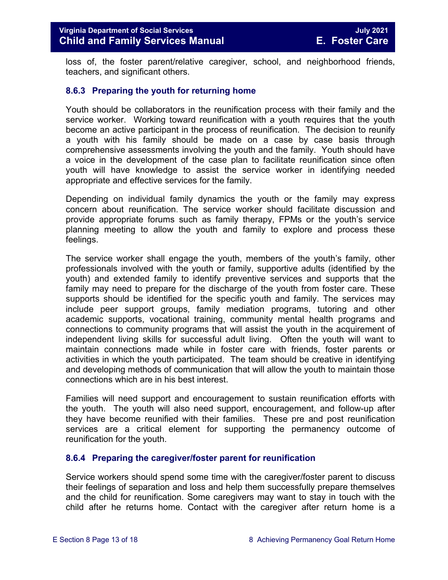loss of, the foster parent/relative caregiver, school, and neighborhood friends, teachers, and significant others.

#### <span id="page-12-0"></span>**8.6.3 Preparing the youth for returning home**

Youth should be collaborators in the reunification process with their family and the service worker. Working toward reunification with a youth requires that the youth become an active participant in the process of reunification. The decision to reunify a youth with his family should be made on a case by case basis through comprehensive assessments involving the youth and the family. Youth should have a voice in the development of the case plan to facilitate reunification since often youth will have knowledge to assist the service worker in identifying needed appropriate and effective services for the family.

Depending on individual family dynamics the youth or the family may express concern about reunification. The service worker should facilitate discussion and provide appropriate forums such as family therapy, FPMs or the youth's service planning meeting to allow the youth and family to explore and process these feelings.

The service worker shall engage the youth, members of the youth's family, other professionals involved with the youth or family, supportive adults (identified by the youth) and extended family to identify preventive services and supports that the family may need to prepare for the discharge of the youth from foster care. These supports should be identified for the specific youth and family. The services may include peer support groups, family mediation programs, tutoring and other academic supports, vocational training, community mental health programs and connections to community programs that will assist the youth in the acquirement of independent living skills for successful adult living. Often the youth will want to maintain connections made while in foster care with friends, foster parents or activities in which the youth participated. The team should be creative in identifying and developing methods of communication that will allow the youth to maintain those connections which are in his best interest.

Families will need support and encouragement to sustain reunification efforts with the youth. The youth will also need support, encouragement, and follow-up after they have become reunified with their families. These pre and post reunification services are a critical element for supporting the permanency outcome of reunification for the youth.

#### <span id="page-12-1"></span>**8.6.4 Preparing the caregiver/foster parent for reunification**

Service workers should spend some time with the caregiver/foster parent to discuss their feelings of separation and loss and help them successfully prepare themselves and the child for reunification. Some caregivers may want to stay in touch with the child after he returns home. Contact with the caregiver after return home is a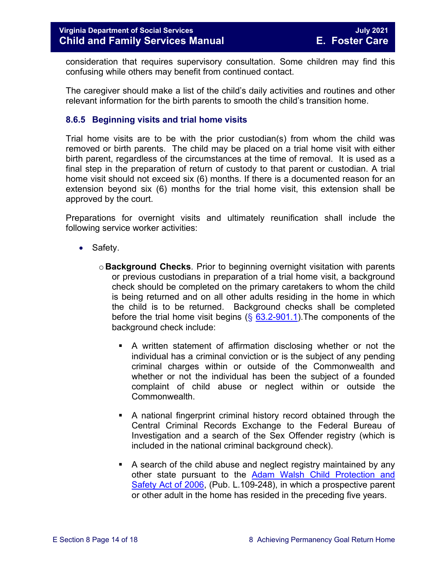consideration that requires supervisory consultation. Some children may find this confusing while others may benefit from continued contact.

The caregiver should make a list of the child's daily activities and routines and other relevant information for the birth parents to smooth the child's transition home.

### <span id="page-13-0"></span>**8.6.5 Beginning visits and trial home visits**

Trial home visits are to be with the prior custodian(s) from whom the child was removed or birth parents. The child may be placed on a trial home visit with either birth parent, regardless of the circumstances at the time of removal. It is used as a final step in the preparation of return of custody to that parent or custodian. A trial home visit should not exceed six (6) months. If there is a documented reason for an extension beyond six (6) months for the trial home visit, this extension shall be approved by the court.

Preparations for overnight visits and ultimately reunification shall include the following service worker activities:

- Safety.
	- o **Background Checks**. Prior to beginning overnight visitation with parents or previous custodians in preparation of a trial home visit, a background check should be completed on the primary caretakers to whom the child is being returned and on all other adults residing in the home in which the child is to be returned. Background checks shall be completed before the trial home visit begins  $(\S$  [63.2-901.1\)](https://law.lis.virginia.gov/vacode/63.2-901.1/). The components of the background check include:
		- A written statement of affirmation disclosing whether or not the individual has a criminal conviction or is the subject of any pending criminal charges within or outside of the Commonwealth and whether or not the individual has been the subject of a founded complaint of child abuse or neglect within or outside the Commonwealth.
		- A national fingerprint criminal history record obtained through the Central Criminal Records Exchange to the Federal Bureau of Investigation and a search of the Sex Offender registry (which is included in the national criminal background check).
		- A search of the child abuse and neglect registry maintained by any other state pursuant to the [Adam Walsh Child Protection and](http://www.gpo.gov/fdsys/pkg/PLAW-109publ248/html/PLAW-109publ248.htm)  [Safety Act of 2006,](http://www.gpo.gov/fdsys/pkg/PLAW-109publ248/html/PLAW-109publ248.htm) (Pub. L.109-248), in which a prospective parent or other adult in the home has resided in the preceding five years.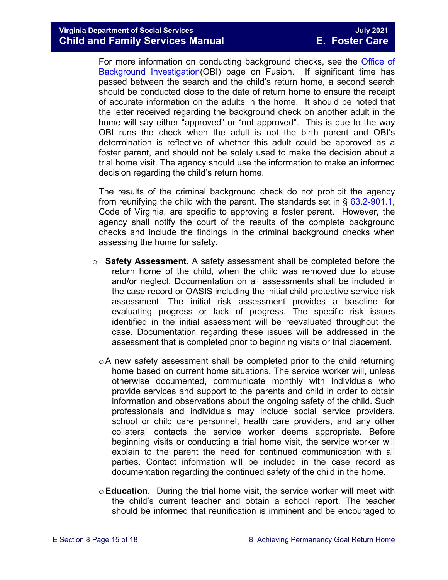For more information on conducting background checks, see the [Office of](https://fusion.dss.virginia.gov/lp/LP-Home/OFFICE-OF-BACKGROUND-INVESTIGATIONS)  [Background Investigation\(](https://fusion.dss.virginia.gov/lp/LP-Home/OFFICE-OF-BACKGROUND-INVESTIGATIONS)OBI) page on Fusion. If significant time has passed between the search and the child's return home, a second search should be conducted close to the date of return home to ensure the receipt of accurate information on the adults in the home. It should be noted that the letter received regarding the background check on another adult in the home will say either "approved" or "not approved". This is due to the way OBI runs the check when the adult is not the birth parent and OBI's determination is reflective of whether this adult could be approved as a foster parent, and should not be solely used to make the decision about a trial home visit. The agency should use the information to make an informed decision regarding the child's return home.

The results of the criminal background check do not prohibit the agency from reunifying the child with the parent. The standards set in  $\S$  [63.2-901.1,](https://law.lis.virginia.gov/vacode/63.2-901.1/) Code of Virginia, are specific to approving a foster parent. However, the agency shall notify the court of the results of the complete background checks and include the findings in the criminal background checks when assessing the home for safety.

- o **Safety Assessment**. A safety assessment shall be completed before the return home of the child, when the child was removed due to abuse and/or neglect. Documentation on all assessments shall be included in the case record or OASIS including the initial child protective service risk assessment. The initial risk assessment provides a baseline for evaluating progress or lack of progress. The specific risk issues identified in the initial assessment will be reevaluated throughout the case. Documentation regarding these issues will be addressed in the assessment that is completed prior to beginning visits or trial placement.
	- $\circ$ A new safety assessment shall be completed prior to the child returning home based on current home situations. The service worker will, unless otherwise documented, communicate monthly with individuals who provide services and support to the parents and child in order to obtain information and observations about the ongoing safety of the child. Such professionals and individuals may include social service providers, school or child care personnel, health care providers, and any other collateral contacts the service worker deems appropriate. Before beginning visits or conducting a trial home visit, the service worker will explain to the parent the need for continued communication with all parties. Contact information will be included in the case record as documentation regarding the continued safety of the child in the home.
	- o**Education**. During the trial home visit, the service worker will meet with the child's current teacher and obtain a school report. The teacher should be informed that reunification is imminent and be encouraged to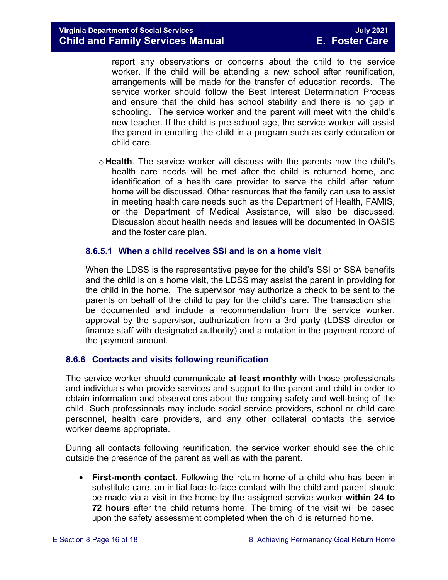report any observations or concerns about the child to the service worker. If the child will be attending a new school after reunification, arrangements will be made for the transfer of education records. The service worker should follow the Best Interest Determination Process and ensure that the child has school stability and there is no gap in schooling. The service worker and the parent will meet with the child's new teacher. If the child is pre-school age, the service worker will assist the parent in enrolling the child in a program such as early education or child care.

o **Health**. The service worker will discuss with the parents how the child's health care needs will be met after the child is returned home, and identification of a health care provider to serve the child after return home will be discussed. Other resources that the family can use to assist in meeting health care needs such as the Department of Health, FAMIS, or the Department of Medical Assistance, will also be discussed. Discussion about health needs and issues will be documented in OASIS and the foster care plan.

#### **8.6.5.1 When a child receives SSI and is on a home visit**

When the LDSS is the representative payee for the child's SSI or SSA benefits and the child is on a home visit, the LDSS may assist the parent in providing for the child in the home. The supervisor may authorize a check to be sent to the parents on behalf of the child to pay for the child's care. The transaction shall be documented and include a recommendation from the service worker, approval by the supervisor, authorization from a 3rd party (LDSS director or finance staff with designated authority) and a notation in the payment record of the payment amount.

# <span id="page-15-0"></span>**8.6.6 Contacts and visits following reunification**

The service worker should communicate **at least monthly** with those professionals and individuals who provide services and support to the parent and child in order to obtain information and observations about the ongoing safety and well-being of the child. Such professionals may include social service providers, school or child care personnel, health care providers, and any other collateral contacts the service worker deems appropriate.

During all contacts following reunification, the service worker should see the child outside the presence of the parent as well as with the parent.

• **First-month contact**. Following the return home of a child who has been in substitute care, an initial face-to-face contact with the child and parent should be made via a visit in the home by the assigned service worker **within 24 to 72 hours** after the child returns home. The timing of the visit will be based upon the safety assessment completed when the child is returned home.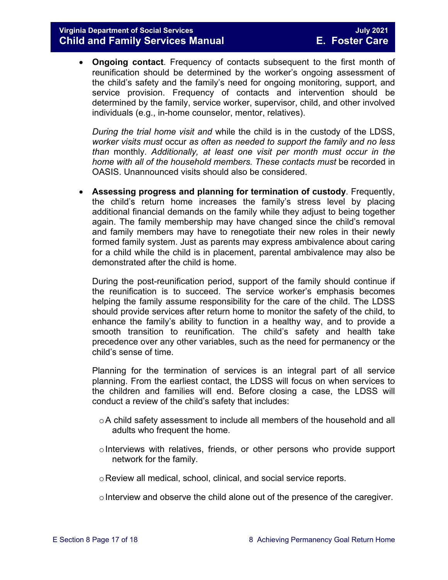• **Ongoing contact**. Frequency of contacts subsequent to the first month of reunification should be determined by the worker's ongoing assessment of the child's safety and the family's need for ongoing monitoring, support, and service provision. Frequency of contacts and intervention should be determined by the family, service worker, supervisor, child, and other involved individuals (e.g., in-home counselor, mentor, relatives).

*During the trial home visit and* while the child is in the custody of the LDSS, *worker visits must* occur *as often as needed to support the family and no less than* monthly. *Additionally, at least one visit per month must occur in the home with all of the household members. These contacts must* be recorded in OASIS. Unannounced visits should also be considered.

• **Assessing progress and planning for termination of custody**. Frequently, the child's return home increases the family's stress level by placing additional financial demands on the family while they adjust to being together again. The family membership may have changed since the child's removal and family members may have to renegotiate their new roles in their newly formed family system. Just as parents may express ambivalence about caring for a child while the child is in placement, parental ambivalence may also be demonstrated after the child is home.

During the post-reunification period, support of the family should continue if the reunification is to succeed. The service worker's emphasis becomes helping the family assume responsibility for the care of the child. The LDSS should provide services after return home to monitor the safety of the child, to enhance the family's ability to function in a healthy way, and to provide a smooth transition to reunification. The child's safety and health take precedence over any other variables, such as the need for permanency or the child's sense of time.

Planning for the termination of services is an integral part of all service planning. From the earliest contact, the LDSS will focus on when services to the children and families will end. Before closing a case, the LDSS will conduct a review of the child's safety that includes:

- $\circ$ A child safety assessment to include all members of the household and all adults who frequent the home.
- $\circ$  Interviews with relatives, friends, or other persons who provide support network for the family.
- oReview all medical, school, clinical, and social service reports.
- $\circ$  Interview and observe the child alone out of the presence of the caregiver.